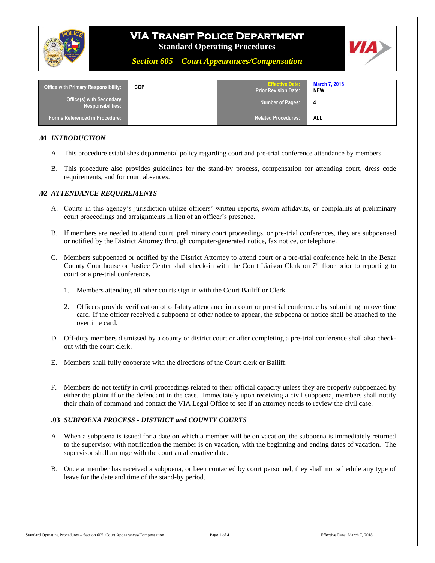

# **VIA Transit Police Department**

**Standard Operating Procedures**



*Section 605 – Court Appearances/Compensation*

| Office with Primary Responsibility:                  | <b>COP</b> | <b>Effective Date:</b><br><b>Prior Revision Date:</b> | <b>March 7, 2018</b><br>NEW |
|------------------------------------------------------|------------|-------------------------------------------------------|-----------------------------|
| <b>Office(s) with Secondary</b><br>Responsibilities: |            | <b>Number of Pages:</b>                               |                             |
| <b>Forms Referenced in Procedure:</b>                |            | <b>Related Procedures:</b>                            | ALL                         |

#### **.01** *INTRODUCTION*

- A. This procedure establishes departmental policy regarding court and pre-trial conference attendance by members.
- B. This procedure also provides guidelines for the stand-by process, compensation for attending court, dress code requirements, and for court absences.

#### **.02** *ATTENDANCE REQUIREMENTS*

- A. Courts in this agency's jurisdiction utilize officers' written reports, sworn affidavits, or complaints at preliminary court proceedings and arraignments in lieu of an officer's presence.
- B. If members are needed to attend court, preliminary court proceedings, or pre-trial conferences, they are subpoenaed or notified by the District Attorney through computer-generated notice, fax notice, or telephone.
- C. Members subpoenaed or notified by the District Attorney to attend court or a pre-trial conference held in the Bexar County Courthouse or Justice Center shall check-in with the Court Liaison Clerk on 7<sup>th</sup> floor prior to reporting to court or a pre-trial conference.
	- 1. Members attending all other courts sign in with the Court Bailiff or Clerk.
	- 2. Officers provide verification of off-duty attendance in a court or pre-trial conference by submitting an overtime card. If the officer received a subpoena or other notice to appear, the subpoena or notice shall be attached to the overtime card.
- D. Off-duty members dismissed by a county or district court or after completing a pre-trial conference shall also checkout with the court clerk.
- E. Members shall fully cooperate with the directions of the Court clerk or Bailiff.
- F. Members do not testify in civil proceedings related to their official capacity unless they are properly subpoenaed by either the plaintiff or the defendant in the case. Immediately upon receiving a civil subpoena, members shall notify their chain of command and contact the VIA Legal Office to see if an attorney needs to review the civil case.

#### **.03** *SUBPOENA PROCESS - DISTRICT and COUNTY COURTS*

- A. When a subpoena is issued for a date on which a member will be on vacation, the subpoena is immediately returned to the supervisor with notification the member is on vacation, with the beginning and ending dates of vacation. The supervisor shall arrange with the court an alternative date.
- B. Once a member has received a subpoena, or been contacted by court personnel, they shall not schedule any type of leave for the date and time of the stand-by period.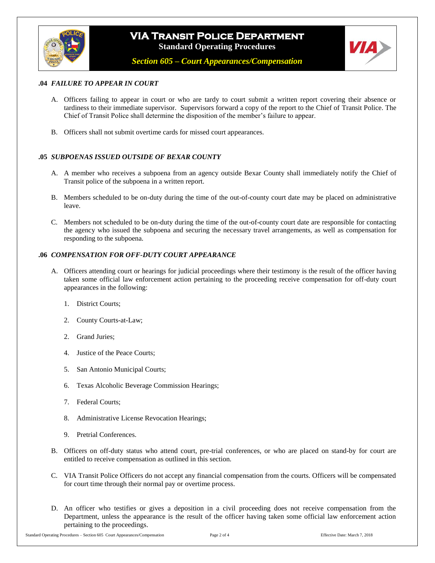

# **VIA Transit Police Department Standard Operating Procedures**



*Section 605 – Court Appearances/Compensation*

## **.04** *FAILURE TO APPEAR IN COURT*

- A. Officers failing to appear in court or who are tardy to court submit a written report covering their absence or tardiness to their immediate supervisor. Supervisors forward a copy of the report to the Chief of Transit Police. The Chief of Transit Police shall determine the disposition of the member's failure to appear.
- B. Officers shall not submit overtime cards for missed court appearances.

#### **.05** *SUBPOENAS ISSUED OUTSIDE OF BEXAR COUNTY*

- A. A member who receives a subpoena from an agency outside Bexar County shall immediately notify the Chief of Transit police of the subpoena in a written report.
- B. Members scheduled to be on-duty during the time of the out-of-county court date may be placed on administrative leave.
- C. Members not scheduled to be on-duty during the time of the out-of-county court date are responsible for contacting the agency who issued the subpoena and securing the necessary travel arrangements, as well as compensation for responding to the subpoena.

## **.06** *COMPENSATION FOR OFF-DUTY COURT APPEARANCE*

- A. Officers attending court or hearings for judicial proceedings where their testimony is the result of the officer having taken some official law enforcement action pertaining to the proceeding receive compensation for off-duty court appearances in the following:
	- 1. District Courts;
	- 2. County Courts-at-Law;
	- 2. Grand Juries;
	- 4. Justice of the Peace Courts;
	- 5. San Antonio Municipal Courts;
	- 6. Texas Alcoholic Beverage Commission Hearings;
	- 7. Federal Courts;
	- 8. Administrative License Revocation Hearings;
	- 9. Pretrial Conferences.
- B. Officers on off-duty status who attend court, pre-trial conferences, or who are placed on stand-by for court are entitled to receive compensation as outlined in this section.
- C. VIA Transit Police Officers do not accept any financial compensation from the courts. Officers will be compensated for court time through their normal pay or overtime process.
- D. An officer who testifies or gives a deposition in a civil proceeding does not receive compensation from the Department, unless the appearance is the result of the officer having taken some official law enforcement action pertaining to the proceedings.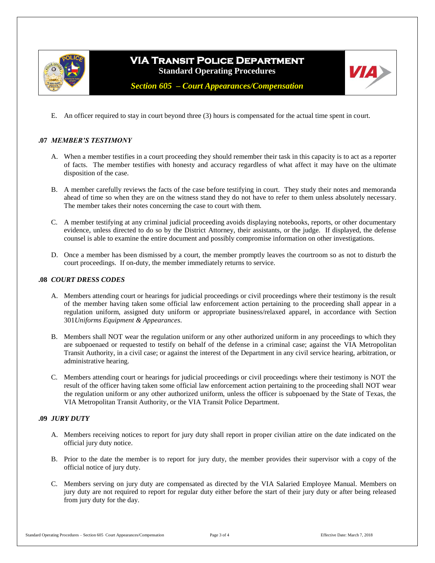

# **VIA Transit Police Department Standard Operating Procedures**



*Section 605 – Court Appearances/Compensation*

E. An officer required to stay in court beyond three (3) hours is compensated for the actual time spent in court.

## **.07** *MEMBER'S TESTIMONY*

- A. When a member testifies in a court proceeding they should remember their task in this capacity is to act as a reporter of facts. The member testifies with honesty and accuracy regardless of what affect it may have on the ultimate disposition of the case.
- B. A member carefully reviews the facts of the case before testifying in court. They study their notes and memoranda ahead of time so when they are on the witness stand they do not have to refer to them unless absolutely necessary. The member takes their notes concerning the case to court with them.
- C. A member testifying at any criminal judicial proceeding avoids displaying notebooks, reports, or other documentary evidence, unless directed to do so by the District Attorney, their assistants, or the judge. If displayed, the defense counsel is able to examine the entire document and possibly compromise information on other investigations.
- D. Once a member has been dismissed by a court, the member promptly leaves the courtroom so as not to disturb the court proceedings. If on-duty, the member immediately returns to service.

#### **.08** *COURT DRESS CODES*

- A. Members attending court or hearings for judicial proceedings or civil proceedings where their testimony is the result of the member having taken some official law enforcement action pertaining to the proceeding shall appear in a regulation uniform, assigned duty uniform or appropriate business/relaxed apparel, in accordance with Section 301*Uniforms Equipment & Appearances*.
- B. Members shall NOT wear the regulation uniform or any other authorized uniform in any proceedings to which they are subpoenaed or requested to testify on behalf of the defense in a criminal case; against the VIA Metropolitan Transit Authority, in a civil case; or against the interest of the Department in any civil service hearing, arbitration, or administrative hearing.
- C. Members attending court or hearings for judicial proceedings or civil proceedings where their testimony is NOT the result of the officer having taken some official law enforcement action pertaining to the proceeding shall NOT wear the regulation uniform or any other authorized uniform, unless the officer is subpoenaed by the State of Texas, the VIA Metropolitan Transit Authority, or the VIA Transit Police Department.

#### **.09** *JURY DUTY*

- A. Members receiving notices to report for jury duty shall report in proper civilian attire on the date indicated on the official jury duty notice.
- B. Prior to the date the member is to report for jury duty, the member provides their supervisor with a copy of the official notice of jury duty.
- C. Members serving on jury duty are compensated as directed by the VIA Salaried Employee Manual. Members on jury duty are not required to report for regular duty either before the start of their jury duty or after being released from jury duty for the day.